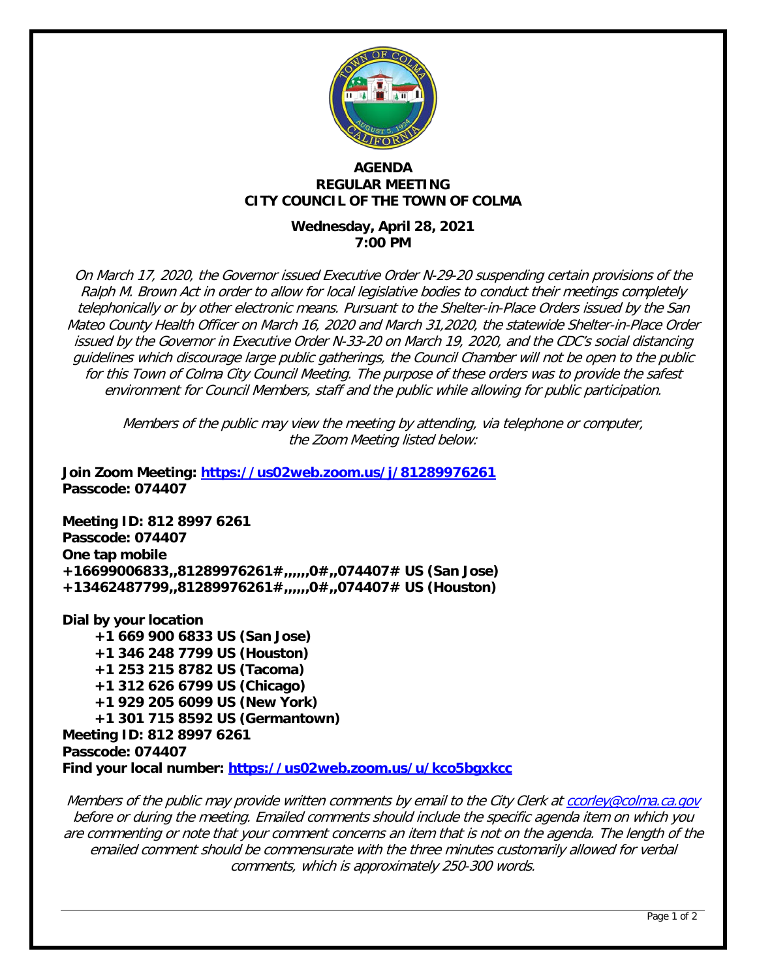

#### **AGENDA REGULAR MEETING CITY COUNCIL OF THE TOWN OF COLMA**

## **Wednesday, April 28, 2021 7:00 PM**

On March 17, 2020, the Governor issued Executive Order N-29-20 suspending certain provisions of the Ralph M. Brown Act in order to allow for local legislative bodies to conduct their meetings completely telephonically or by other electronic means. Pursuant to the Shelter-in-Place Orders issued by the San Mateo County Health Officer on March 16, 2020 and March 31,2020, the statewide Shelter-in-Place Order issued by the Governor in Executive Order N-33-20 on March 19, 2020, and the CDC's social distancing guidelines which discourage large public gatherings, the Council Chamber will not be open to the public for this Town of Colma City Council Meeting. The purpose of these orders was to provide the safest environment for Council Members, staff and the public while allowing for public participation.

Members of the public may view the meeting by attending, via telephone or computer, the Zoom Meeting listed below:

**Join Zoom Meeting:<https://us02web.zoom.us/j/81289976261> Passcode: 074407**

**Meeting ID: 812 8997 6261 Passcode: 074407 One tap mobile +16699006833,,81289976261#,,,,,,0#,,074407# US (San Jose) +13462487799,,81289976261#,,,,,,0#,,074407# US (Houston)**

**Dial by your location +1 669 900 6833 US (San Jose) +1 346 248 7799 US (Houston) +1 253 215 8782 US (Tacoma) +1 312 626 6799 US (Chicago) +1 929 205 6099 US (New York) +1 301 715 8592 US (Germantown) Meeting ID: 812 8997 6261 Passcode: 074407 Find your local number:<https://us02web.zoom.us/u/kco5bgxkcc>**

Members of the public may provide written comments by email to the City Clerk at [ccorley@colma.ca.gov](mailto:ccorley@colma.ca.gov) before or during the meeting. Emailed comments should include the specific agenda item on which you are commenting or note that your comment concerns an item that is not on the agenda. The length of the emailed comment should be commensurate with the three minutes customarily allowed for verbal comments, which is approximately 250-300 words.